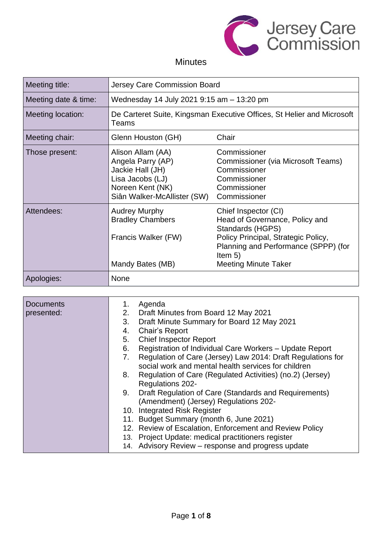

# Minutes

| Meeting title:       | Jersey Care Commission Board                                                                                                      |                                                                                                                                                                                                       |
|----------------------|-----------------------------------------------------------------------------------------------------------------------------------|-------------------------------------------------------------------------------------------------------------------------------------------------------------------------------------------------------|
| Meeting date & time: | Wednesday 14 July 2021 9:15 am - 13:20 pm                                                                                         |                                                                                                                                                                                                       |
| Meeting location:    | Teams                                                                                                                             | De Carteret Suite, Kingsman Executive Offices, St Helier and Microsoft                                                                                                                                |
| Meeting chair:       | Glenn Houston (GH)                                                                                                                | Chair                                                                                                                                                                                                 |
| Those present:       | Alison Allam (AA)<br>Angela Parry (AP)<br>Jackie Hall (JH)<br>Lisa Jacobs (LJ)<br>Noreen Kent (NK)<br>Siân Walker-McAllister (SW) | Commissioner<br>Commissioner (via Microsoft Teams)<br>Commissioner<br>Commissioner<br>Commissioner<br>Commissioner                                                                                    |
| Attendees:           | <b>Audrey Murphy</b><br><b>Bradley Chambers</b><br>Francis Walker (FW)<br>Mandy Bates (MB)                                        | Chief Inspector (CI)<br>Head of Governance, Policy and<br>Standards (HGPS)<br>Policy Principal, Strategic Policy,<br>Planning and Performance (SPPP) (for<br>Item $5)$<br><b>Meeting Minute Taker</b> |
| Apologies:           | None                                                                                                                              |                                                                                                                                                                                                       |

| <b>Documents</b><br>presented: | Agenda<br>1.<br>2. Draft Minutes from Board 12 May 2021<br>Draft Minute Summary for Board 12 May 2021<br>3.<br><b>Chair's Report</b><br>4.<br><b>Chief Inspector Report</b><br>5.<br>6.<br>Registration of Individual Care Workers - Update Report<br>Regulation of Care (Jersey) Law 2014: Draft Regulations for<br>7.<br>social work and mental health services for children<br>Regulation of Care (Regulated Activities) (no.2) (Jersey)<br>8.<br><b>Regulations 202-</b><br>Draft Regulation of Care (Standards and Requirements)<br>9.<br>(Amendment) (Jersey) Regulations 202-<br>10. Integrated Risk Register |  |
|--------------------------------|----------------------------------------------------------------------------------------------------------------------------------------------------------------------------------------------------------------------------------------------------------------------------------------------------------------------------------------------------------------------------------------------------------------------------------------------------------------------------------------------------------------------------------------------------------------------------------------------------------------------|--|
|                                | 11. Budget Summary (month 6, June 2021)                                                                                                                                                                                                                                                                                                                                                                                                                                                                                                                                                                              |  |
|                                | 12. Review of Escalation, Enforcement and Review Policy                                                                                                                                                                                                                                                                                                                                                                                                                                                                                                                                                              |  |
|                                | 13. Project Update: medical practitioners register<br>14. Advisory Review - response and progress update                                                                                                                                                                                                                                                                                                                                                                                                                                                                                                             |  |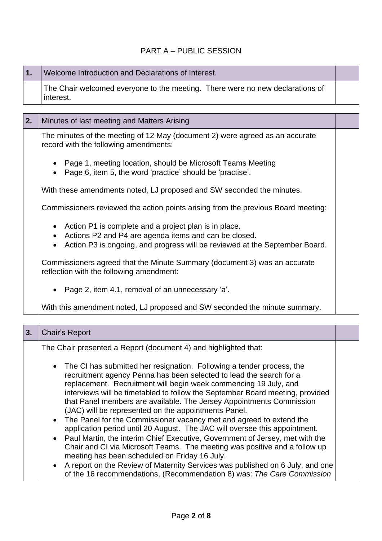### PART A – PUBLIC SESSION

| 1. | Welcome Introduction and Declarations of Interest.                                                                                                 |  |
|----|----------------------------------------------------------------------------------------------------------------------------------------------------|--|
|    | The Chair welcomed everyone to the meeting. There were no new declarations of<br>interest.                                                         |  |
|    |                                                                                                                                                    |  |
| 2. | Minutes of last meeting and Matters Arising                                                                                                        |  |
|    | The minutes of the meeting of 12 May (document 2) were agreed as an accurate<br>record with the following amendments:                              |  |
|    | Page 1, meeting location, should be Microsoft Teams Meeting<br>$\bullet$<br>Page 6, item 5, the word 'practice' should be 'practise'.<br>$\bullet$ |  |

With these amendments noted, LJ proposed and SW seconded the minutes.

Commissioners reviewed the action points arising from the previous Board meeting:

- Action P1 is complete and a project plan is in place.
- Actions P2 and P4 are agenda items and can be closed.
- Action P3 is ongoing, and progress will be reviewed at the September Board.

Commissioners agreed that the Minute Summary (document 3) was an accurate reflection with the following amendment:

• Page 2, item 4.1, removal of an unnecessary 'a'.

With this amendment noted, LJ proposed and SW seconded the minute summary.

| 3. | Chair's Report                                                                                                                                                                                                                                                                                                                                                                                                                                                                                                                                                                                                                                                                                                                                                                                                                                                                                                                                                           |  |
|----|--------------------------------------------------------------------------------------------------------------------------------------------------------------------------------------------------------------------------------------------------------------------------------------------------------------------------------------------------------------------------------------------------------------------------------------------------------------------------------------------------------------------------------------------------------------------------------------------------------------------------------------------------------------------------------------------------------------------------------------------------------------------------------------------------------------------------------------------------------------------------------------------------------------------------------------------------------------------------|--|
|    | The Chair presented a Report (document 4) and highlighted that:                                                                                                                                                                                                                                                                                                                                                                                                                                                                                                                                                                                                                                                                                                                                                                                                                                                                                                          |  |
|    | • The CI has submitted her resignation. Following a tender process, the<br>recruitment agency Penna has been selected to lead the search for a<br>replacement. Recruitment will begin week commencing 19 July, and<br>interviews will be timetabled to follow the September Board meeting, provided<br>that Panel members are available. The Jersey Appointments Commission<br>(JAC) will be represented on the appointments Panel.<br>• The Panel for the Commissioner vacancy met and agreed to extend the<br>application period until 20 August. The JAC will oversee this appointment.<br>• Paul Martin, the interim Chief Executive, Government of Jersey, met with the<br>Chair and CI via Microsoft Teams. The meeting was positive and a follow up<br>meeting has been scheduled on Friday 16 July.<br>• A report on the Review of Maternity Services was published on 6 July, and one<br>of the 16 recommendations, (Recommendation 8) was: The Care Commission |  |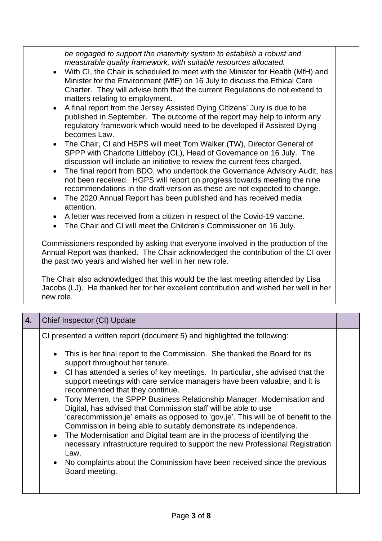| be engaged to support the maternity system to establish a robust and<br>measurable quality framework, with suitable resources allocated.<br>With CI, the Chair is scheduled to meet with the Minister for Health (MfH) and<br>Minister for the Environment (MfE) on 16 July to discuss the Ethical Care<br>Charter. They will advise both that the current Regulations do not extend to<br>matters relating to employment.<br>A final report from the Jersey Assisted Dying Citizens' Jury is due to be<br>published in September. The outcome of the report may help to inform any<br>regulatory framework which would need to be developed if Assisted Dying<br>becomes Law.<br>The Chair, CI and HSPS will meet Tom Walker (TW), Director General of<br>SPPP with Charlotte Littleboy (CL), Head of Governance on 16 July. The<br>discussion will include an initiative to review the current fees charged.<br>The final report from BDO, who undertook the Governance Advisory Audit, has<br>$\bullet$<br>not been received. HGPS will report on progress towards meeting the nine<br>recommendations in the draft version as these are not expected to change.<br>The 2020 Annual Report has been published and has received media<br>$\bullet$<br>attention.<br>A letter was received from a citizen in respect of the Covid-19 vaccine.<br>$\bullet$<br>The Chair and CI will meet the Children's Commissioner on 16 July. |  |  |
|-----------------------------------------------------------------------------------------------------------------------------------------------------------------------------------------------------------------------------------------------------------------------------------------------------------------------------------------------------------------------------------------------------------------------------------------------------------------------------------------------------------------------------------------------------------------------------------------------------------------------------------------------------------------------------------------------------------------------------------------------------------------------------------------------------------------------------------------------------------------------------------------------------------------------------------------------------------------------------------------------------------------------------------------------------------------------------------------------------------------------------------------------------------------------------------------------------------------------------------------------------------------------------------------------------------------------------------------------------------------------------------------------------------------------------------|--|--|
| Commissioners responded by asking that everyone involved in the production of the<br>Annual Report was thanked. The Chair acknowledged the contribution of the CI over<br>the past two years and wished her well in her new role.<br>The Chair also acknowledged that this would be the last meeting attended by Lisa<br>Jacobs (LJ). He thanked her for her excellent contribution and wished her well in her                                                                                                                                                                                                                                                                                                                                                                                                                                                                                                                                                                                                                                                                                                                                                                                                                                                                                                                                                                                                                    |  |  |
| new role.                                                                                                                                                                                                                                                                                                                                                                                                                                                                                                                                                                                                                                                                                                                                                                                                                                                                                                                                                                                                                                                                                                                                                                                                                                                                                                                                                                                                                         |  |  |

| 4. | Chief Inspector (CI) Update                                                                                                                                                                                                                                                                                                                                                                                                                                                                                                                                                                                                                                                                                                                                                                                                                                                                                                                                             |  |
|----|-------------------------------------------------------------------------------------------------------------------------------------------------------------------------------------------------------------------------------------------------------------------------------------------------------------------------------------------------------------------------------------------------------------------------------------------------------------------------------------------------------------------------------------------------------------------------------------------------------------------------------------------------------------------------------------------------------------------------------------------------------------------------------------------------------------------------------------------------------------------------------------------------------------------------------------------------------------------------|--|
|    | CI presented a written report (document 5) and highlighted the following:<br>• This is her final report to the Commission. She thanked the Board for its<br>support throughout her tenure.<br>• CI has attended a series of key meetings. In particular, she advised that the<br>support meetings with care service managers have been valuable, and it is<br>recommended that they continue.<br>• Tony Merren, the SPPP Business Relationship Manager, Modernisation and<br>Digital, has advised that Commission staff will be able to use<br>'carecommission.je' emails as opposed to 'gov.je'. This will be of benefit to the<br>Commission in being able to suitably demonstrate its independence.<br>• The Modernisation and Digital team are in the process of identifying the<br>necessary infrastructure required to support the new Professional Registration<br>Law.<br>No complaints about the Commission have been received since the previous<br>$\bullet$ |  |
|    | Board meeting.                                                                                                                                                                                                                                                                                                                                                                                                                                                                                                                                                                                                                                                                                                                                                                                                                                                                                                                                                          |  |
|    |                                                                                                                                                                                                                                                                                                                                                                                                                                                                                                                                                                                                                                                                                                                                                                                                                                                                                                                                                                         |  |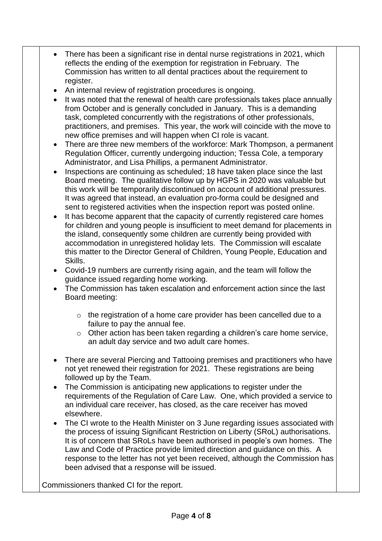- There has been a significant rise in dental nurse registrations in 2021, which reflects the ending of the exemption for registration in February. The Commission has written to all dental practices about the requirement to register.
- An internal review of registration procedures is ongoing.
- It was noted that the renewal of health care professionals takes place annually from October and is generally concluded in January. This is a demanding task, completed concurrently with the registrations of other professionals, practitioners, and premises. This year, the work will coincide with the move to new office premises and will happen when CI role is vacant.
- There are three new members of the workforce: Mark Thompson, a permanent Regulation Officer, currently undergoing induction; Tessa Cole, a temporary Administrator, and Lisa Phillips, a permanent Administrator.
- Inspections are continuing as scheduled; 18 have taken place since the last Board meeting. The qualitative follow up by HGPS in 2020 was valuable but this work will be temporarily discontinued on account of additional pressures. It was agreed that instead, an evaluation pro-forma could be designed and sent to registered activities when the inspection report was posted online.
- It has become apparent that the capacity of currently registered care homes for children and young people is insufficient to meet demand for placements in the island, consequently some children are currently being provided with accommodation in unregistered holiday lets. The Commission will escalate this matter to the Director General of Children, Young People, Education and Skills.
- Covid-19 numbers are currently rising again, and the team will follow the guidance issued regarding home working.
- The Commission has taken escalation and enforcement action since the last Board meeting:
	- o the registration of a home care provider has been cancelled due to a failure to pay the annual fee.
	- o Other action has been taken regarding a children's care home service, an adult day service and two adult care homes.
- There are several Piercing and Tattooing premises and practitioners who have not yet renewed their registration for 2021. These registrations are being followed up by the Team.
- The Commission is anticipating new applications to register under the requirements of the Regulation of Care Law. One, which provided a service to an individual care receiver, has closed, as the care receiver has moved elsewhere.
- The CI wrote to the Health Minister on 3 June regarding issues associated with the process of issuing Significant Restriction on Liberty (SRoL) authorisations. It is of concern that SRoLs have been authorised in people's own homes. The Law and Code of Practice provide limited direction and guidance on this. A response to the letter has not yet been received, although the Commission has been advised that a response will be issued.

Commissioners thanked CI for the report.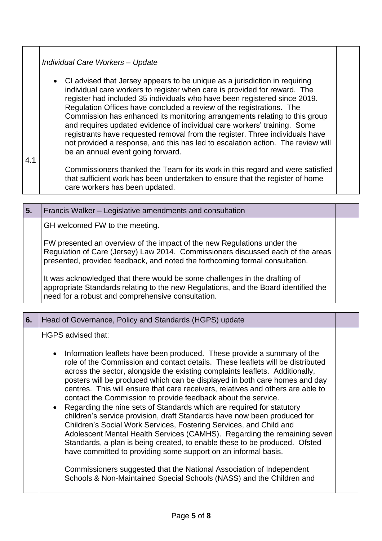|     | Individual Care Workers - Update                                                                                                                                                                                                                                                                                                                                                                                                                                                                                                                                                                                                                                                 |  |
|-----|----------------------------------------------------------------------------------------------------------------------------------------------------------------------------------------------------------------------------------------------------------------------------------------------------------------------------------------------------------------------------------------------------------------------------------------------------------------------------------------------------------------------------------------------------------------------------------------------------------------------------------------------------------------------------------|--|
|     | • CI advised that Jersey appears to be unique as a jurisdiction in requiring<br>individual care workers to register when care is provided for reward. The<br>register had included 35 individuals who have been registered since 2019.<br>Regulation Offices have concluded a review of the registrations. The<br>Commission has enhanced its monitoring arrangements relating to this group<br>and requires updated evidence of individual care workers' training. Some<br>registrants have requested removal from the register. Three individuals have<br>not provided a response, and this has led to escalation action. The review will<br>be an annual event going forward. |  |
| 4.1 |                                                                                                                                                                                                                                                                                                                                                                                                                                                                                                                                                                                                                                                                                  |  |
|     | Commissioners thanked the Team for its work in this regard and were satisfied<br>that sufficient work has been undertaken to ensure that the register of home<br>care workers has been updated.                                                                                                                                                                                                                                                                                                                                                                                                                                                                                  |  |

| 5. | Francis Walker – Legislative amendments and consultation                                                                                                                                                                                   |  |
|----|--------------------------------------------------------------------------------------------------------------------------------------------------------------------------------------------------------------------------------------------|--|
|    | GH welcomed FW to the meeting.                                                                                                                                                                                                             |  |
|    | FW presented an overview of the impact of the new Regulations under the<br>Regulation of Care (Jersey) Law 2014. Commissioners discussed each of the areas<br>presented, provided feedback, and noted the forthcoming formal consultation. |  |
|    | It was acknowledged that there would be some challenges in the drafting of<br>appropriate Standards relating to the new Regulations, and the Board identified the<br>need for a robust and comprehensive consultation.                     |  |

| Head of Governance, Policy and Standards (HGPS) update                                                                                                                                                                                                                                                                                                                                                                                                                                                                                                                                                                                                                                                                                                                                                                                                                                                                                                                                                                                                     |  |
|------------------------------------------------------------------------------------------------------------------------------------------------------------------------------------------------------------------------------------------------------------------------------------------------------------------------------------------------------------------------------------------------------------------------------------------------------------------------------------------------------------------------------------------------------------------------------------------------------------------------------------------------------------------------------------------------------------------------------------------------------------------------------------------------------------------------------------------------------------------------------------------------------------------------------------------------------------------------------------------------------------------------------------------------------------|--|
| HGPS advised that:<br>Information leaflets have been produced. These provide a summary of the<br>$\bullet$<br>role of the Commission and contact details. These leaflets will be distributed<br>across the sector, alongside the existing complaints leaflets. Additionally,<br>posters will be produced which can be displayed in both care homes and day<br>centres. This will ensure that care receivers, relatives and others are able to<br>contact the Commission to provide feedback about the service.<br>Regarding the nine sets of Standards which are required for statutory<br>$\bullet$<br>children's service provision, draft Standards have now been produced for<br>Children's Social Work Services, Fostering Services, and Child and<br>Adolescent Mental Health Services (CAMHS). Regarding the remaining seven<br>Standards, a plan is being created, to enable these to be produced. Ofsted<br>have committed to providing some support on an informal basis.<br>Commissioners suggested that the National Association of Independent |  |
| Schools & Non-Maintained Special Schools (NASS) and the Children and                                                                                                                                                                                                                                                                                                                                                                                                                                                                                                                                                                                                                                                                                                                                                                                                                                                                                                                                                                                       |  |
|                                                                                                                                                                                                                                                                                                                                                                                                                                                                                                                                                                                                                                                                                                                                                                                                                                                                                                                                                                                                                                                            |  |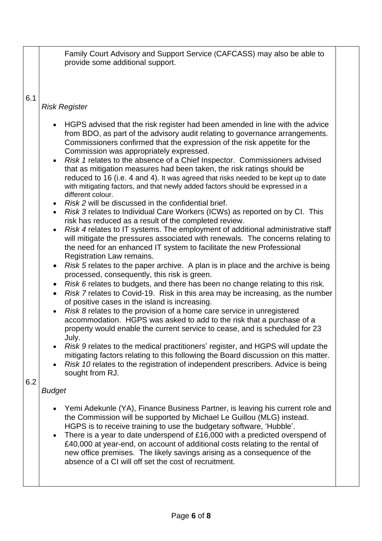Family Court Advisory and Support Service (CAFCASS) may also be able to provide some additional support.

6.1

## *Risk Register*

- HGPS advised that the risk register had been amended in line with the advice from BDO, as part of the advisory audit relating to governance arrangements. Commissioners confirmed that the expression of the risk appetite for the Commission was appropriately expressed.
- *Risk 1* relates to the absence of a Chief Inspector. Commissioners advised that as mitigation measures had been taken, the risk ratings should be reduced to 16 (i.e. 4 and 4). It was agreed that risks needed to be kept up to date with mitigating factors, and that newly added factors should be expressed in a different colour.
- *Risk 2* will be discussed in the confidential brief.
- *Risk 3* relates to Individual Care Workers (ICWs) as reported on by CI. This risk has reduced as a result of the completed review.
- *Risk 4* relates to IT systems. The employment of additional administrative staff will mitigate the pressures associated with renewals. The concerns relating to the need for an enhanced IT system to facilitate the new Professional Registration Law remains.
- *Risk 5* relates to the paper archive. A plan is in place and the archive is being processed, consequently, this risk is green.
- *Risk 6* relates to budgets, and there has been no change relating to this risk.
- *Risk 7* relates to Covid-19. Risk in this area may be increasing, as the number of positive cases in the island is increasing.
- *Risk 8* relates to the provision of a home care service in unregistered accommodation. HGPS was asked to add to the risk that a purchase of a property would enable the current service to cease, and is scheduled for 23 July.
- *Risk 9* relates to the medical practitioners' register, and HGPS will update the mitigating factors relating to this following the Board discussion on this matter.
- *Risk 10* relates to the registration of independent prescribers. Advice is being sought from RJ.

6.2

### *Budget*

- Yemi Adekunle (YA), Finance Business Partner, is leaving his current role and the Commission will be supported by Michael Le Guillou (MLG) instead. HGPS is to receive training to use the budgetary software, 'Hubble'.
- There is a year to date underspend of £16,000 with a predicted overspend of £40,000 at year-end, on account of additional costs relating to the rental of new office premises. The likely savings arising as a consequence of the absence of a CI will off set the cost of recruitment.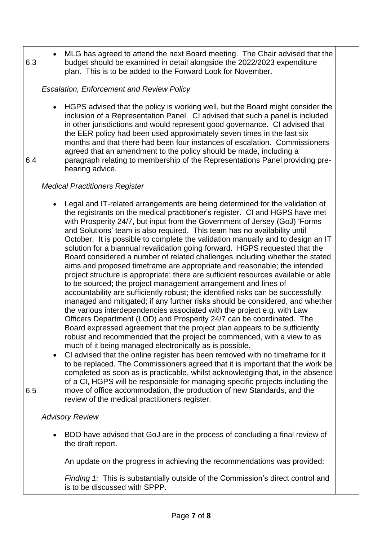| 6.3 | budget should be examined in detail alongside the 2022/2023 expenditure<br>plan. This is to be added to the Forward Look for November.                                                                                                                                                                                                                                                                                                                                                                                                                                                                                                                                                                                                                                                                                                                                                                                                                                                                                                                                                                                                                                                                                                                                                                                                                                                                                                                                                                                                                                                                                                                                                                                                                                                                                        |
|-----|-------------------------------------------------------------------------------------------------------------------------------------------------------------------------------------------------------------------------------------------------------------------------------------------------------------------------------------------------------------------------------------------------------------------------------------------------------------------------------------------------------------------------------------------------------------------------------------------------------------------------------------------------------------------------------------------------------------------------------------------------------------------------------------------------------------------------------------------------------------------------------------------------------------------------------------------------------------------------------------------------------------------------------------------------------------------------------------------------------------------------------------------------------------------------------------------------------------------------------------------------------------------------------------------------------------------------------------------------------------------------------------------------------------------------------------------------------------------------------------------------------------------------------------------------------------------------------------------------------------------------------------------------------------------------------------------------------------------------------------------------------------------------------------------------------------------------------|
|     | <b>Escalation, Enforcement and Review Policy</b>                                                                                                                                                                                                                                                                                                                                                                                                                                                                                                                                                                                                                                                                                                                                                                                                                                                                                                                                                                                                                                                                                                                                                                                                                                                                                                                                                                                                                                                                                                                                                                                                                                                                                                                                                                              |
| 6.4 | HGPS advised that the policy is working well, but the Board might consider the<br>inclusion of a Representation Panel. CI advised that such a panel is included<br>in other jurisdictions and would represent good governance. CI advised that<br>the EER policy had been used approximately seven times in the last six<br>months and that there had been four instances of escalation. Commissioners<br>agreed that an amendment to the policy should be made, including a<br>paragraph relating to membership of the Representations Panel providing pre-<br>hearing advice.                                                                                                                                                                                                                                                                                                                                                                                                                                                                                                                                                                                                                                                                                                                                                                                                                                                                                                                                                                                                                                                                                                                                                                                                                                               |
|     | <b>Medical Practitioners Register</b>                                                                                                                                                                                                                                                                                                                                                                                                                                                                                                                                                                                                                                                                                                                                                                                                                                                                                                                                                                                                                                                                                                                                                                                                                                                                                                                                                                                                                                                                                                                                                                                                                                                                                                                                                                                         |
| 6.5 | Legal and IT-related arrangements are being determined for the validation of<br>the registrants on the medical practitioner's register. CI and HGPS have met<br>with Prosperity 24/7, but input from the Government of Jersey (GoJ) 'Forms<br>and Solutions' team is also required. This team has no availability until<br>October. It is possible to complete the validation manually and to design an IT<br>solution for a biannual revalidation going forward. HGPS requested that the<br>Board considered a number of related challenges including whether the stated<br>aims and proposed timeframe are appropriate and reasonable; the intended<br>project structure is appropriate; there are sufficient resources available or able<br>to be sourced; the project management arrangement and lines of<br>accountability are sufficiently robust; the identified risks can be successfully<br>managed and mitigated; if any further risks should be considered, and whether<br>the various interdependencies associated with the project e.g. with Law<br>Officers Department (LOD) and Prosperity 24/7 can be coordinated. The<br>Board expressed agreement that the project plan appears to be sufficiently<br>robust and recommended that the project be commenced, with a view to as<br>much of it being managed electronically as is possible.<br>CI advised that the online register has been removed with no time frame for it<br>to be replaced. The Commissioners agreed that it is important that the work be<br>completed as soon as is practicable, whilst acknowledging that, in the absence<br>of a CI, HGPS will be responsible for managing specific projects including the<br>move of office accommodation, the production of new Standards, and the<br>review of the medical practitioners register. |
|     | <b>Advisory Review</b>                                                                                                                                                                                                                                                                                                                                                                                                                                                                                                                                                                                                                                                                                                                                                                                                                                                                                                                                                                                                                                                                                                                                                                                                                                                                                                                                                                                                                                                                                                                                                                                                                                                                                                                                                                                                        |
|     | BDO have advised that GoJ are in the process of concluding a final review of<br>the draft report.                                                                                                                                                                                                                                                                                                                                                                                                                                                                                                                                                                                                                                                                                                                                                                                                                                                                                                                                                                                                                                                                                                                                                                                                                                                                                                                                                                                                                                                                                                                                                                                                                                                                                                                             |
|     | An update on the progress in achieving the recommendations was provided:                                                                                                                                                                                                                                                                                                                                                                                                                                                                                                                                                                                                                                                                                                                                                                                                                                                                                                                                                                                                                                                                                                                                                                                                                                                                                                                                                                                                                                                                                                                                                                                                                                                                                                                                                      |
|     | Finding 1: This is substantially outside of the Commission's direct control and<br>is to be discussed with SPPP.                                                                                                                                                                                                                                                                                                                                                                                                                                                                                                                                                                                                                                                                                                                                                                                                                                                                                                                                                                                                                                                                                                                                                                                                                                                                                                                                                                                                                                                                                                                                                                                                                                                                                                              |

• MLG has agreed to attend the next Board meeting. The Chair advised that the